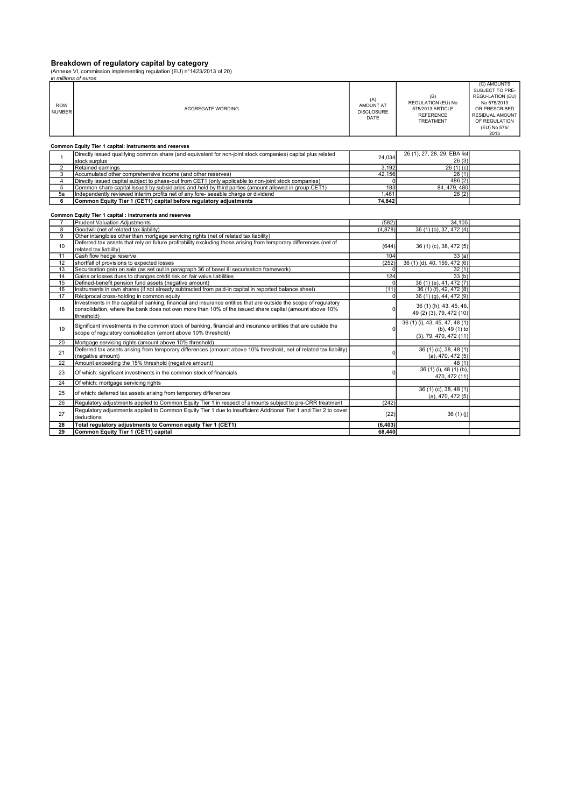#### Breakdown of regulatory capital by category

(Annexe VI, commission implementing regulation (EU) n°1423/2013 of 20)<br>*in millions of euros* 

|                             | in millions of euros                                                                                                                                                           |                                               |                                                                                 |                                                                                                                                                |
|-----------------------------|--------------------------------------------------------------------------------------------------------------------------------------------------------------------------------|-----------------------------------------------|---------------------------------------------------------------------------------|------------------------------------------------------------------------------------------------------------------------------------------------|
| <b>ROW</b><br><b>NUMBER</b> | AGGREGATE WORDING                                                                                                                                                              | (A)<br>AMOUNT AT<br><b>DISCLOSURE</b><br>DATE | (B)<br>REGULATION (EU) No<br>575/2013 ARTICLE<br><b>REFERENCE</b><br>TREATMENT  | (C) AMOUNTS<br>SUBJECT TO PRE-<br>REGU-LATION (EU)<br>No 575/2013<br>OR PRESCRIBED<br>RESIDUAL AMOUNT<br>OF REGULATION<br>(EU) No 575/<br>2013 |
|                             | Common Equity Tier 1 capital: instruments and reserves                                                                                                                         |                                               |                                                                                 |                                                                                                                                                |
| $\mathbf{1}$                | Directly issued qualifying common share (and equivalent for non-joint stock companies) capital plus related                                                                    | 24,034                                        | 26 (1), 27, 28, 29, EBA list<br>26(3)                                           |                                                                                                                                                |
|                             | stock surplus                                                                                                                                                                  |                                               |                                                                                 |                                                                                                                                                |
| $\overline{2}$              | Retained earnings                                                                                                                                                              | 3,192                                         | 26(1)(c)                                                                        |                                                                                                                                                |
| 3                           | Accumulated other comprehensive income (and other reserves)                                                                                                                    | 42.156                                        | 26(1)                                                                           |                                                                                                                                                |
| $\overline{4}$              | Directly issued capital subject to phase-out from CET1 (only applicable to non-joint stock companies)                                                                          |                                               | 486(2)                                                                          |                                                                                                                                                |
| 5                           | Common share capital issued by subsidiaries and held by third parties (amount allowed in group CET1)                                                                           | 183                                           | 84, 479, 480                                                                    |                                                                                                                                                |
| 5a                          | Independently reviewed interim profits net of any fore- seeable charge or dividend                                                                                             | 1,461                                         | 26(2)                                                                           |                                                                                                                                                |
| 6                           | Common Equity Tier 1 (CET1) capital before regulatory adjustments                                                                                                              | 74,842                                        |                                                                                 |                                                                                                                                                |
|                             | Common Equity Tier 1 capital : instruments and reserves                                                                                                                        |                                               |                                                                                 |                                                                                                                                                |
| $\overline{7}$              | <b>Prudent Valuation Adjustments</b>                                                                                                                                           | (582)                                         | 34,105                                                                          |                                                                                                                                                |
| 8                           | Goodwill (net of related tax liability)                                                                                                                                        | (4,878)                                       | 36 (1) (b), 37, 472 (4)                                                         |                                                                                                                                                |
| 9                           | Other intangibles other than mortgage servicing rights (net of related tax liability)                                                                                          |                                               |                                                                                 |                                                                                                                                                |
| 10                          | Deferred tax assets that rely on future profitability excluding those arising from temporary differences (net of<br>related tax liability)                                     | (644)                                         | 36 (1) (c), 38, 472 (5)                                                         |                                                                                                                                                |
| 11                          | Cash flow hedge reserve                                                                                                                                                        | 104                                           | 33(a)                                                                           |                                                                                                                                                |
| 12                          | shortfall of provisions to expected losses                                                                                                                                     | (252)                                         | 36 (1) (d), 40, 159, 472 (6)                                                    |                                                                                                                                                |
| 13                          | Securisation gain on sale (as set out in paragraph 36 of basel III securisation framework)                                                                                     | $\overline{0}$                                | 32(1)                                                                           |                                                                                                                                                |
| 14                          | Gains or losses dues to changes crédit risk on fair value liabilities                                                                                                          | 124                                           | 33(b)                                                                           |                                                                                                                                                |
| 15                          | Defined-benefit pension fund assets (negative amount)                                                                                                                          | $\Omega$                                      | 36 (1) (e), 41, 472 (7)                                                         |                                                                                                                                                |
| 16                          | Instruments in own shares (if not already subtracted from paid-in capital in reported balance sheet)                                                                           | (11)                                          | 36 (1) (f), 42, 472 (8)                                                         |                                                                                                                                                |
| 17                          | Réciprocal cross-holding in common equity                                                                                                                                      | $\Omega$                                      | 36 (1) (g), 44, 472 (9)                                                         |                                                                                                                                                |
|                             | Investments in the capital of banking, financial and insurance entities that are outside the scope of regulatory                                                               |                                               |                                                                                 |                                                                                                                                                |
| 18                          | consolidation, where the bank does not own more than 10% of the issued share capital (amount above 10%)<br>threshold)                                                          | $\Omega$                                      | 36 (1) (h), 43, 45, 46,<br>49 (2) (3), 79, 472 (10)                             |                                                                                                                                                |
| 19                          | Significant investments in the common stock of banking, financial and insurance entities that are outside the<br>scope of regulatory consolidation (amont above 10% threshold) | $\Omega$                                      | 36 (1) (i), 43, 45, 47, 48 (1)<br>(b), 49 (1) to<br>$(3)$ , 79, 470, 472 $(11)$ |                                                                                                                                                |
| 20                          | Mortgage servicing rights (amount above 10% threshold)                                                                                                                         |                                               |                                                                                 |                                                                                                                                                |
| 21                          | Deferred tax assets arising from temporary differences (amount above 10% threshold, net of related tax liability)<br>(negative amount)                                         |                                               | 36 (1) (c), 38, 48 (1)<br>(a), 470, 472(5)                                      |                                                                                                                                                |
| 22                          | Amount exceeding the 15% threshold (negative amount)                                                                                                                           |                                               | 48(1)                                                                           |                                                                                                                                                |
| 23                          | Of which: significant investments in the common stock of financials                                                                                                            |                                               | 36 (1) (i), 48 (1) (b),<br>470, 472 (11)                                        |                                                                                                                                                |
| 24                          | Of which: mortgage servicing rights                                                                                                                                            |                                               |                                                                                 |                                                                                                                                                |
| 25                          | of which: deferred tax assets arising from temporary differences                                                                                                               |                                               | 36 (1) (c), 38, 48 (1)<br>$(a)$ , 470, 472 $(5)$                                |                                                                                                                                                |
| 26                          | Requlatory adjustments applied to Common Equity Tier 1 in respect of amounts subject to pre-CRR treatment                                                                      | (242)                                         |                                                                                 |                                                                                                                                                |
| 27                          | Requlatory adjustments applied to Common Equity Tier 1 due to insufficient Additional Tier 1 and Tier 2 to cover<br>deductions                                                 | (22)                                          | 36(1)(i)                                                                        |                                                                                                                                                |
| 28                          |                                                                                                                                                                                | (6, 403)                                      |                                                                                 |                                                                                                                                                |
|                             | Total regulatory adjustments to Common equity Tier 1 (CET1)                                                                                                                    |                                               |                                                                                 |                                                                                                                                                |
| 29                          | Common Equity Tier 1 (CET1) capital                                                                                                                                            | 68,440                                        |                                                                                 |                                                                                                                                                |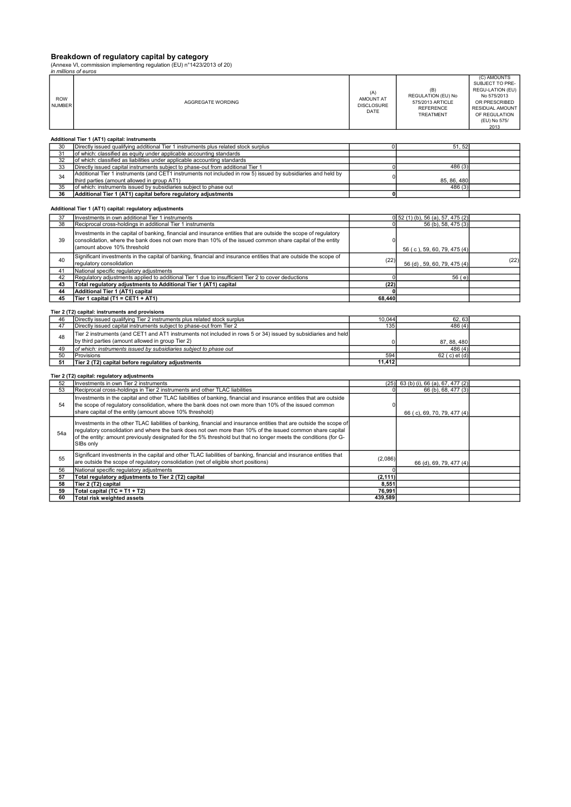# Breakdown of regulatory capital by category<br>(Annexe VI, commission implementing regulation (EU) n°1423/2013 of 20)

|                             | in millions of euros                                                                                                                                                                                                                                                                                                                                               |                                               |                                                                                |                                                                                                                                                |
|-----------------------------|--------------------------------------------------------------------------------------------------------------------------------------------------------------------------------------------------------------------------------------------------------------------------------------------------------------------------------------------------------------------|-----------------------------------------------|--------------------------------------------------------------------------------|------------------------------------------------------------------------------------------------------------------------------------------------|
| <b>ROW</b><br><b>NUMBER</b> | AGGREGATE WORDING                                                                                                                                                                                                                                                                                                                                                  | (A)<br>AMOUNT AT<br><b>DISCLOSURE</b><br>DATE | (B)<br>REGULATION (EU) No<br>575/2013 ARTICLE<br><b>REFERENCE</b><br>TREATMENT | (C) AMOUNTS<br>SUBJECT TO PRE-<br>REGU-LATION (EU)<br>No 575/2013<br>OR PRESCRIBED<br>RESIDUAL AMOUNT<br>OF REGULATION<br>(EU) No 575/<br>2013 |
|                             | Additional Tier 1 (AT1) capital: instruments                                                                                                                                                                                                                                                                                                                       |                                               |                                                                                |                                                                                                                                                |
| 30                          | Directly issued qualifying additional Tier 1 instruments plus related stock surplus                                                                                                                                                                                                                                                                                | $\Omega$                                      | 51,52                                                                          |                                                                                                                                                |
| 31                          | of which: classified as equity under applicable accounting standards                                                                                                                                                                                                                                                                                               |                                               |                                                                                |                                                                                                                                                |
| 32                          | of which: classified as liabilities under applicable accounting standards                                                                                                                                                                                                                                                                                          |                                               |                                                                                |                                                                                                                                                |
| 33                          | Directly issued capital instruments subject to phase-out from additional Tier 1                                                                                                                                                                                                                                                                                    | 0                                             | 486 (3)                                                                        |                                                                                                                                                |
| 34                          | Additional Tier 1 instruments (and CET1 instruments not included in row 5) issued by subsidiaries and held by                                                                                                                                                                                                                                                      | $\Omega$                                      |                                                                                |                                                                                                                                                |
|                             | third parties (amount allowed in group AT1)                                                                                                                                                                                                                                                                                                                        |                                               | 85, 86, 480                                                                    |                                                                                                                                                |
| 35                          | of which: instruments issued by subsidiaries subject to phase out                                                                                                                                                                                                                                                                                                  |                                               | 486 (3)                                                                        |                                                                                                                                                |
| 36                          | Additional Tier 1 (AT1) capital before regulatory adjustments                                                                                                                                                                                                                                                                                                      | 0                                             |                                                                                |                                                                                                                                                |
| 37                          | Additional Tier 1 (AT1) capital: regulatory adjustments<br>Investments in own additional Tier 1 instruments                                                                                                                                                                                                                                                        |                                               | 0 52 (1) (b), 56 (a), 57, 475 (2)                                              |                                                                                                                                                |
| 38                          | Reciprocal cross-holdings in additional Tier 1 instruments                                                                                                                                                                                                                                                                                                         | $\Omega$                                      | 56 (b), 58, 475 (3)                                                            |                                                                                                                                                |
| 39                          | Investments in the capital of banking, financial and insurance entities that are outside the scope of regulatory<br>consolidation, where the bank does not own more than 10% of the issued common share capital of the entity<br>(amount above 10% threshold                                                                                                       | 0                                             | 56 (c), 59, 60, 79, 475 (4)                                                    |                                                                                                                                                |
| 40                          | Significant investments in the capital of banking, financial and insurance entities that are outside the scope of<br>regulatory consolidation                                                                                                                                                                                                                      | (22)                                          | 56 (d), 59, 60, 79, 475 (4)                                                    | (22)                                                                                                                                           |
| 41                          | National specific regulatory adjustments                                                                                                                                                                                                                                                                                                                           |                                               |                                                                                |                                                                                                                                                |
| 42                          | Regulatory adjustments applied to additional Tier 1 due to insufficient Tier 2 to cover deductions                                                                                                                                                                                                                                                                 | 0                                             | 56 (e)                                                                         |                                                                                                                                                |
| 43                          | Total regulatory adjustments to Additional Tier 1 (AT1) capital                                                                                                                                                                                                                                                                                                    | (22)                                          |                                                                                |                                                                                                                                                |
| 44                          | Additional Tier 1 (AT1) capital                                                                                                                                                                                                                                                                                                                                    | 0                                             |                                                                                |                                                                                                                                                |
| 45                          | Tier 1 capital (T1 = CET1 + AT1)                                                                                                                                                                                                                                                                                                                                   | 68,440                                        |                                                                                |                                                                                                                                                |
|                             | Tier 2 (T2) capital: instruments and provisions                                                                                                                                                                                                                                                                                                                    |                                               |                                                                                |                                                                                                                                                |
| 46                          | Directly issued qualifying Tier 2 instruments plus related stock surplus                                                                                                                                                                                                                                                                                           | 10.044                                        | 62, 63                                                                         |                                                                                                                                                |
| 47                          | Directly issued capital instruments subject to phase-out from Tier 2                                                                                                                                                                                                                                                                                               | 135                                           | 486 (4)                                                                        |                                                                                                                                                |
|                             |                                                                                                                                                                                                                                                                                                                                                                    |                                               |                                                                                |                                                                                                                                                |
| 48                          | Tier 2 instruments (and CET1 and AT1 instruments not included in rows 5 or 34) issued by subsidiaries and held<br>by third parties (amount allowed in group Tier 2)                                                                                                                                                                                                |                                               |                                                                                |                                                                                                                                                |
|                             |                                                                                                                                                                                                                                                                                                                                                                    | $\mathbf 0$                                   | 87, 88, 480                                                                    |                                                                                                                                                |
| 49<br>50                    | of which: instruments issued by subsidiaries subject to phase out                                                                                                                                                                                                                                                                                                  | 594                                           | 486(4)<br>$62$ (c) et (d)                                                      |                                                                                                                                                |
| 51                          | Provisions                                                                                                                                                                                                                                                                                                                                                         | 11,412                                        |                                                                                |                                                                                                                                                |
|                             | Tier 2 (T2) capital before regulatory adjustments                                                                                                                                                                                                                                                                                                                  |                                               |                                                                                |                                                                                                                                                |
|                             | Tier 2 (T2) capital: regulatory adjustments                                                                                                                                                                                                                                                                                                                        |                                               |                                                                                |                                                                                                                                                |
| 52                          | Investments in own Tier 2 instruments                                                                                                                                                                                                                                                                                                                              | (25)                                          | 63 (b) (i), 66 (a), 67, 477 (2)                                                |                                                                                                                                                |
| 53                          | Reciprocal cross-holdings in Tier 2 instruments and other TLAC liabilities                                                                                                                                                                                                                                                                                         | $\overline{0}$                                | 66 (b), 68, 477 (3)                                                            |                                                                                                                                                |
|                             | Investments in the capital and other TLAC liabilities of banking, financial and insurance entities that are outside                                                                                                                                                                                                                                                |                                               |                                                                                |                                                                                                                                                |
| 54                          | the scope of regulatory consolidation, where the bank does not own more than 10% of the issued common                                                                                                                                                                                                                                                              | 0                                             |                                                                                |                                                                                                                                                |
|                             | share capital of the entity (amount above 10% threshold)                                                                                                                                                                                                                                                                                                           |                                               | 66 (c), 69, 70, 79, 477 (4)                                                    |                                                                                                                                                |
| 54a                         | Investments in the other TLAC liabilities of banking, financial and insurance entities that are outside the scope of<br>regulatory consolidation and where the bank does not own more than 10% of the issued common share capital<br>of the entity: amount previously designated for the 5% threshold but that no longer meets the conditions (for G-<br>SIBs only |                                               |                                                                                |                                                                                                                                                |
| 55                          | Significant investments in the capital and other TLAC liabilities of banking, financial and insurance entities that<br>are outside the scope of regulatory consolidation (net of eligible short positions)                                                                                                                                                         | (2,086)                                       | 66 (d), 69, 79, 477 (4)                                                        |                                                                                                                                                |
| 56                          | National specific regulatory adjustments                                                                                                                                                                                                                                                                                                                           | $\sqrt{2}$                                    |                                                                                |                                                                                                                                                |
| 57                          | Total regulatory adjustments to Tier 2 (T2) capital                                                                                                                                                                                                                                                                                                                | (2, 111)                                      |                                                                                |                                                                                                                                                |
| 58                          | Tier 2 (T2) capital                                                                                                                                                                                                                                                                                                                                                | 8.551                                         |                                                                                |                                                                                                                                                |
| 59                          | Total capital (TC = T1 + T2)                                                                                                                                                                                                                                                                                                                                       | 76,991                                        |                                                                                |                                                                                                                                                |
| 60                          | <b>Total risk weighted assets</b>                                                                                                                                                                                                                                                                                                                                  | 439,589                                       |                                                                                |                                                                                                                                                |